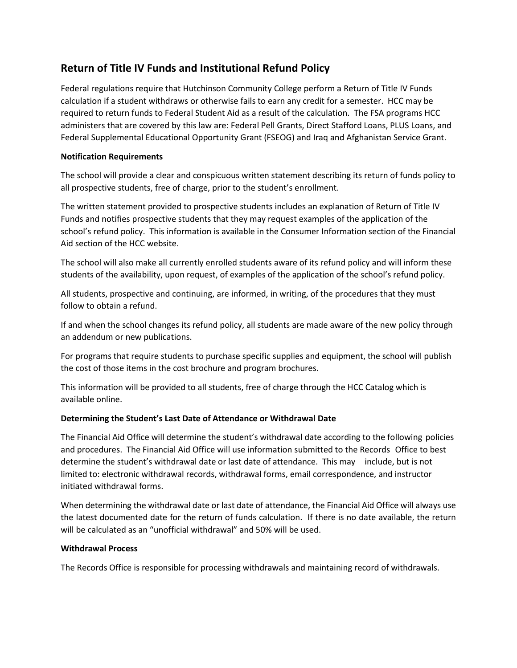# **Return of Title IV Funds and Institutional Refund Policy**

Federal regulations require that Hutchinson Community College perform a Return of Title IV Funds calculation if a student withdraws or otherwise fails to earn any credit for a semester. HCC may be required to return funds to Federal Student Aid as a result of the calculation. The FSA programs HCC administers that are covered by this law are: Federal Pell Grants, Direct Stafford Loans, PLUS Loans, and Federal Supplemental Educational Opportunity Grant (FSEOG) and Iraq and Afghanistan Service Grant.

## **Notification Requirements**

The school will provide a clear and conspicuous written statement describing its return of funds policy to all prospective students, free of charge, prior to the student's enrollment.

The written statement provided to prospective students includes an explanation of Return of Title IV Funds and notifies prospective students that they may request examples of the application of the school's refund policy. This information is available in the Consumer Information section of the Financial Aid section of the HCC website.

The school will also make all currently enrolled students aware of its refund policy and will inform these students of the availability, upon request, of examples of the application of the school's refund policy.

All students, prospective and continuing, are informed, in writing, of the procedures that they must follow to obtain a refund.

If and when the school changes its refund policy, all students are made aware of the new policy through an addendum or new publications.

For programs that require students to purchase specific supplies and equipment, the school will publish the cost of those items in the cost brochure and program brochures.

This information will be provided to all students, free of charge through the HCC Catalog which is available online.

# **Determining the Student's Last Date of Attendance or Withdrawal Date**

The Financial Aid Office will determine the student's withdrawal date according to the following policies and procedures. The Financial Aid Office will use information submitted to the Records Office to best determine the student's withdrawal date or last date of attendance. This may include, but is not limited to: electronic withdrawal records, withdrawal forms, email correspondence, and instructor initiated withdrawal forms.

When determining the withdrawal date or last date of attendance, the Financial Aid Office will always use the latest documented date for the return of funds calculation. If there is no date available, the return will be calculated as an "unofficial withdrawal" and 50% will be used.

#### **Withdrawal Process**

The Records Office is responsible for processing withdrawals and maintaining record of withdrawals.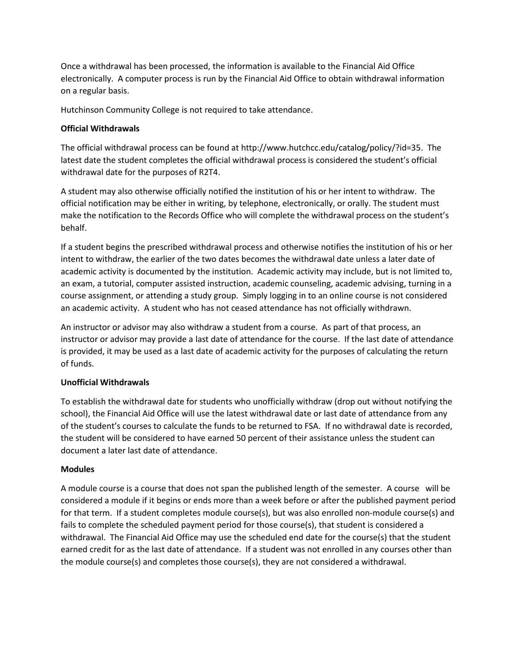Once a withdrawal has been processed, the information is available to the Financial Aid Office electronically. A computer process is run by the Financial Aid Office to obtain withdrawal information on a regular basis.

Hutchinson Community College is not required to take attendance.

#### **Official Withdrawals**

The official withdrawal process can be found at http://www.hutchcc.edu/catalog/policy/?id=35. The latest date the student completes the official withdrawal process is considered the student's official withdrawal date for the purposes of R2T4.

A student may also otherwise officially notified the institution of his or her intent to withdraw. The official notification may be either in writing, by telephone, electronically, or orally. The student must make the notification to the Records Office who will complete the withdrawal process on the student's behalf.

If a student begins the prescribed withdrawal process and otherwise notifies the institution of his or her intent to withdraw, the earlier of the two dates becomes the withdrawal date unless a later date of academic activity is documented by the institution. Academic activity may include, but is not limited to, an exam, a tutorial, computer assisted instruction, academic counseling, academic advising, turning in a course assignment, or attending a study group. Simply logging in to an online course is not considered an academic activity. A student who has not ceased attendance has not officially withdrawn.

An instructor or advisor may also withdraw a student from a course. As part of that process, an instructor or advisor may provide a last date of attendance for the course. If the last date of attendance is provided, it may be used as a last date of academic activity for the purposes of calculating the return of funds.

# **Unofficial Withdrawals**

To establish the withdrawal date for students who unofficially withdraw (drop out without notifying the school), the Financial Aid Office will use the latest withdrawal date or last date of attendance from any of the student's courses to calculate the funds to be returned to FSA. If no withdrawal date is recorded, the student will be considered to have earned 50 percent of their assistance unless the student can document a later last date of attendance.

#### **Modules**

A module course is a course that does not span the published length of the semester. A course will be considered a module if it begins or ends more than a week before or after the published payment period for that term. If a student completes module course(s), but was also enrolled non-module course(s) and fails to complete the scheduled payment period for those course(s), that student is considered a withdrawal. The Financial Aid Office may use the scheduled end date for the course(s) that the student earned credit for as the last date of attendance. If a student was not enrolled in any courses other than the module course(s) and completes those course(s), they are not considered a withdrawal.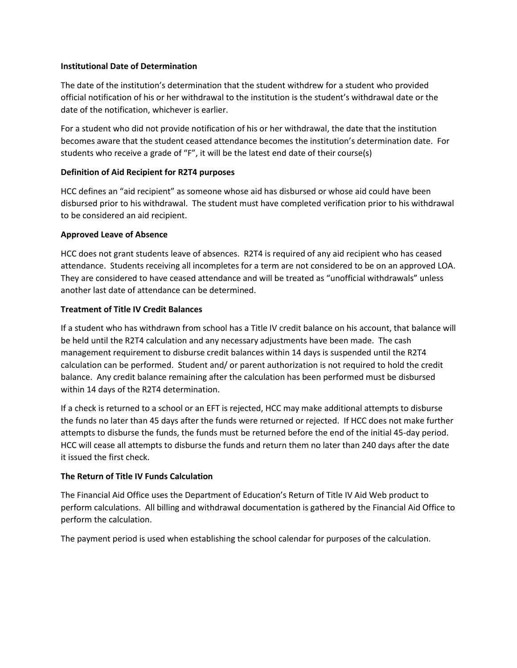#### **Institutional Date of Determination**

The date of the institution's determination that the student withdrew for a student who provided official notification of his or her withdrawal to the institution is the student's withdrawal date or the date of the notification, whichever is earlier.

For a student who did not provide notification of his or her withdrawal, the date that the institution becomes aware that the student ceased attendance becomes the institution's determination date. For students who receive a grade of "F", it will be the latest end date of their course(s)

## **Definition of Aid Recipient for R2T4 purposes**

HCC defines an "aid recipient" as someone whose aid has disbursed or whose aid could have been disbursed prior to his withdrawal. The student must have completed verification prior to his withdrawal to be considered an aid recipient.

## **Approved Leave of Absence**

HCC does not grant students leave of absences. R2T4 is required of any aid recipient who has ceased attendance. Students receiving all incompletes for a term are not considered to be on an approved LOA. They are considered to have ceased attendance and will be treated as "unofficial withdrawals" unless another last date of attendance can be determined.

## **Treatment of Title IV Credit Balances**

If a student who has withdrawn from school has a Title IV credit balance on his account, that balance will be held until the R2T4 calculation and any necessary adjustments have been made. The cash management requirement to disburse credit balances within 14 days is suspended until the R2T4 calculation can be performed. Student and/ or parent authorization is not required to hold the credit balance. Any credit balance remaining after the calculation has been performed must be disbursed within 14 days of the R2T4 determination.

If a check is returned to a school or an EFT is rejected, HCC may make additional attempts to disburse the funds no later than 45 days after the funds were returned or rejected. If HCC does not make further attempts to disburse the funds, the funds must be returned before the end of the initial 45-day period. HCC will cease all attempts to disburse the funds and return them no later than 240 days after the date it issued the first check.

# **The Return of Title IV Funds Calculation**

The Financial Aid Office uses the Department of Education's Return of Title IV Aid Web product to perform calculations. All billing and withdrawal documentation is gathered by the Financial Aid Office to perform the calculation.

The payment period is used when establishing the school calendar for purposes of the calculation.